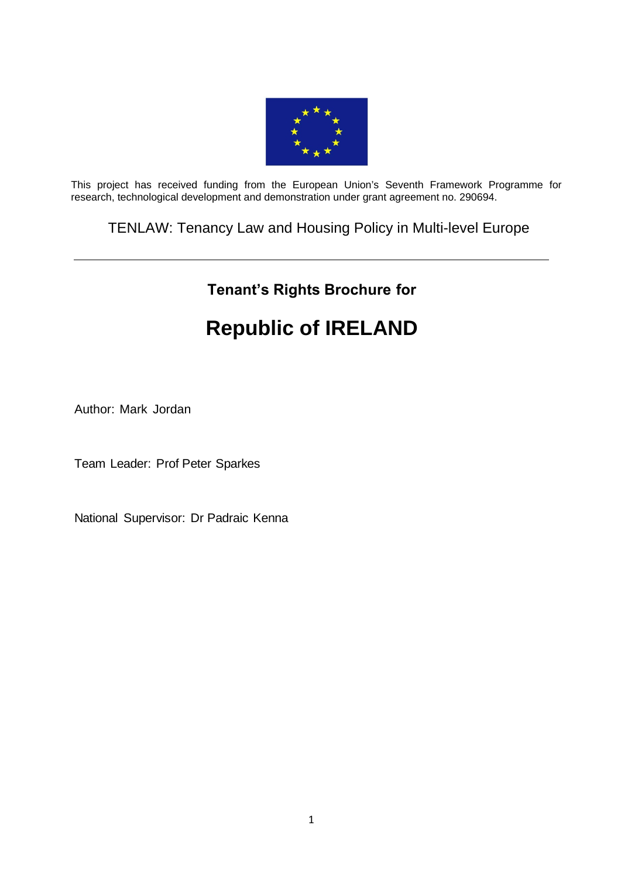

This project has received funding from the European Union's Seventh Framework Programme for research, technological development and demonstration under grant agreement no. 290694.

TENLAW: Tenancy Law and Housing Policy in Multi-level Europe

# **Tenant's Rights Brochure for**

# **Republic of IRELAND**

Author: Mark Jordan

Team Leader: Prof Peter Sparkes

National Supervisor: Dr Padraic Kenna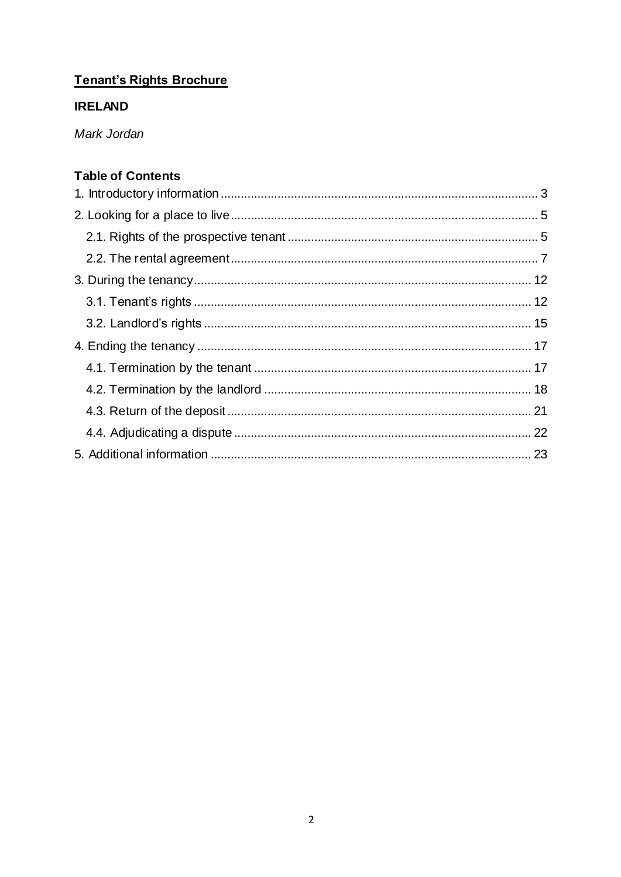# Tenant's Rights Brochure

# **IRELAND**

Mark Jordan

# **Table of Contents**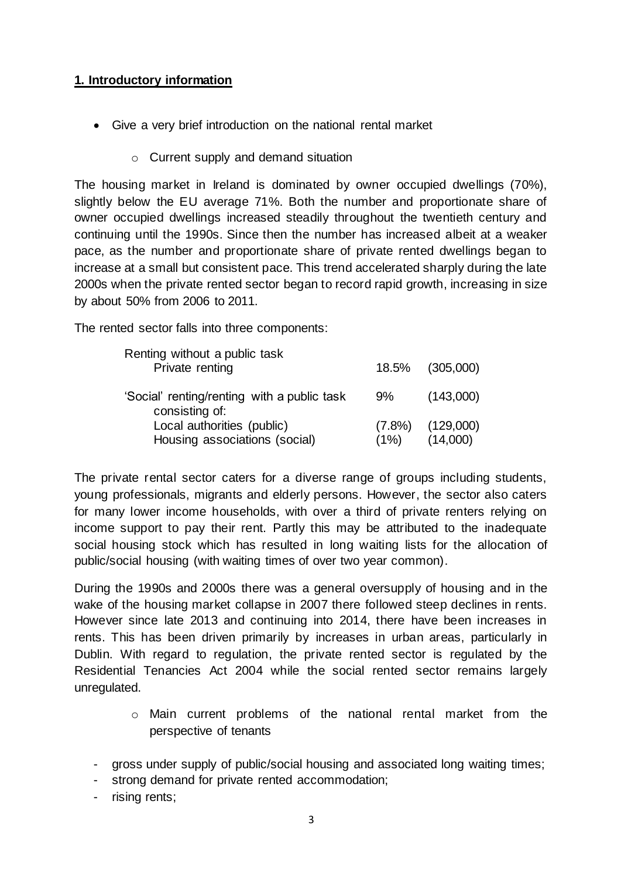# <span id="page-2-0"></span>**1. Introductory information**

- Give a very brief introduction on the national rental market
	- o Current supply and demand situation

The housing market in Ireland is dominated by owner occupied dwellings (70%), slightly below the EU average 71%. Both the number and proportionate share of owner occupied dwellings increased steadily throughout the twentieth century and continuing until the 1990s. Since then the number has increased albeit at a weaker pace, as the number and proportionate share of private rented dwellings began to increase at a small but consistent pace. This trend accelerated sharply during the late 2000s when the private rented sector began to record rapid growth, increasing in size by about 50% from 2006 to 2011.

The rented sector falls into three components:

| Renting without a public task<br>Private renting              |                   | 18.5% (305,000)       |
|---------------------------------------------------------------|-------------------|-----------------------|
| 'Social' renting/renting with a public task<br>consisting of: | 9%                | (143,000)             |
| Local authorities (public)<br>Housing associations (social)   | $(7.8\%)$<br>(1%) | (129,000)<br>(14,000) |

The private rental sector caters for a diverse range of groups including students, young professionals, migrants and elderly persons. However, the sector also caters for many lower income households, with over a third of private renters relying on income support to pay their rent. Partly this may be attributed to the inadequate social housing stock which has resulted in long waiting lists for the allocation of public/social housing (with waiting times of over two year common).

During the 1990s and 2000s there was a general oversupply of housing and in the wake of the housing market collapse in 2007 there followed steep declines in rents. However since late 2013 and continuing into 2014, there have been increases in rents. This has been driven primarily by increases in urban areas, particularly in Dublin. With regard to regulation, the private rented sector is regulated by the Residential Tenancies Act 2004 while the social rented sector remains largely unregulated.

- o Main current problems of the national rental market from the perspective of tenants
- gross under supply of public/social housing and associated long waiting times;
- strong demand for private rented accommodation;
- rising rents;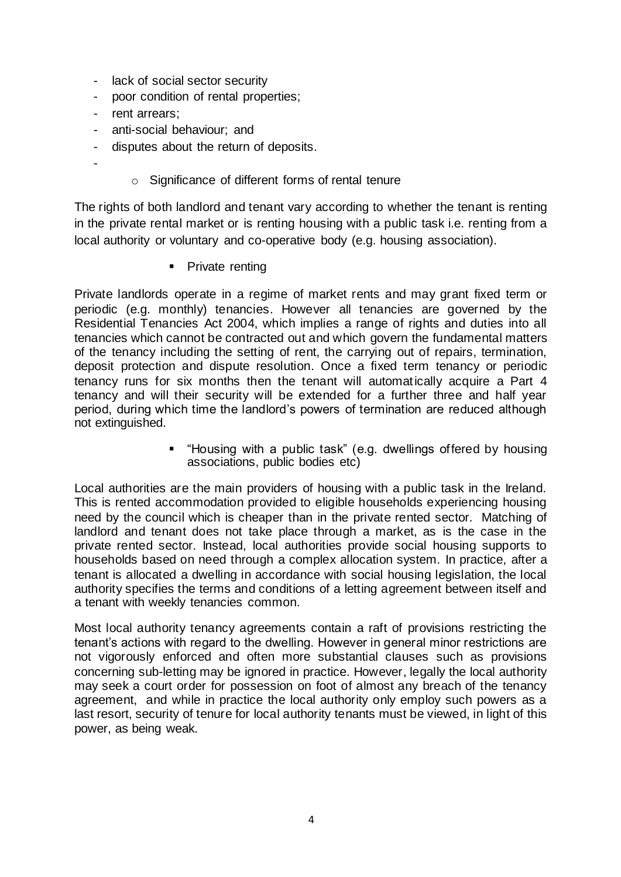- lack of social sector security
- poor condition of rental properties;
- rent arrears;
- anti-social behaviour; and
- disputes about the return of deposits.
- -
- o Significance of different forms of rental tenure

The rights of both landlord and tenant vary according to whether the tenant is renting in the private rental market or is renting housing with a public task i.e. renting from a local authority or voluntary and co-operative body (e.g. housing association).

• Private renting

Private landlords operate in a regime of market rents and may grant fixed term or periodic (e.g. monthly) tenancies. However all tenancies are governed by the Residential Tenancies Act 2004, which implies a range of rights and duties into all tenancies which cannot be contracted out and which govern the fundamental matters of the tenancy including the setting of rent, the carrying out of repairs, termination, deposit protection and dispute resolution. Once a fixed term tenancy or periodic tenancy runs for six months then the tenant will automatically acquire a Part 4 tenancy and will their security will be extended for a further three and half year period, during which time the landlord's powers of termination are reduced although not extinguished.

> "Housing with a public task" (e.g. dwellings offered by housing associations, public bodies etc)

Local authorities are the main providers of housing with a public task in the Ireland. This is rented accommodation provided to eligible households experiencing housing need by the council which is cheaper than in the private rented sector. Matching of landlord and tenant does not take place through a market, as is the case in the private rented sector. Instead, local authorities provide social housing supports to households based on need through a complex allocation system. In practice, after a tenant is allocated a dwelling in accordance with social housing legislation, the local authority specifies the terms and conditions of a letting agreement between itself and a tenant with weekly tenancies common.

Most local authority tenancy agreements contain a raft of provisions restricting the tenant's actions with regard to the dwelling. However in general minor restrictions are not vigorously enforced and often more substantial clauses such as provisions concerning sub-letting may be ignored in practice. However, legally the local authority may seek a court order for possession on foot of almost any breach of the tenancy agreement, and while in practice the local authority only employ such powers as a last resort, security of tenure for local authority tenants must be viewed, in light of this power, as being weak.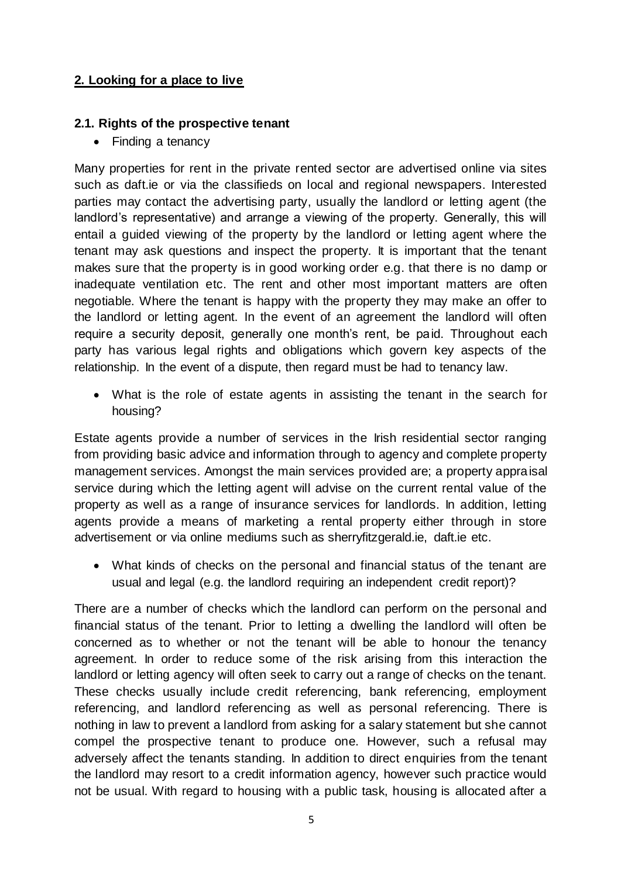# <span id="page-4-0"></span>**2. Looking for a place to live**

#### <span id="page-4-1"></span>**2.1. Rights of the prospective tenant**

• Finding a tenancy

Many properties for rent in the private rented sector are advertised online via sites such as daft.ie or via the classifieds on local and regional newspapers. Interested parties may contact the advertising party, usually the landlord or letting agent (the landlord's representative) and arrange a viewing of the property. Generally, this will entail a guided viewing of the property by the landlord or letting agent where the tenant may ask questions and inspect the property. It is important that the tenant makes sure that the property is in good working order e.g. that there is no damp or inadequate ventilation etc. The rent and other most important matters are often negotiable. Where the tenant is happy with the property they may make an offer to the landlord or letting agent. In the event of an agreement the landlord will often require a security deposit, generally one month's rent, be paid. Throughout each party has various legal rights and obligations which govern key aspects of the relationship. In the event of a dispute, then regard must be had to tenancy law.

 What is the role of estate agents in assisting the tenant in the search for housing?

Estate agents provide a number of services in the Irish residential sector ranging from providing basic advice and information through to agency and complete property management services. Amongst the main services provided are; a property appraisal service during which the letting agent will advise on the current rental value of the property as well as a range of insurance services for landlords. In addition, letting agents provide a means of marketing a rental property either through in store advertisement or via online mediums such as sherryfitzgerald.ie, daft.ie etc.

 What kinds of checks on the personal and financial status of the tenant are usual and legal (e.g. the landlord requiring an independent credit report)?

There are a number of checks which the landlord can perform on the personal and financial status of the tenant. Prior to letting a dwelling the landlord will often be concerned as to whether or not the tenant will be able to honour the tenancy agreement. In order to reduce some of the risk arising from this interaction the landlord or letting agency will often seek to carry out a range of checks on the tenant. These checks usually include credit referencing, bank referencing, employment referencing, and landlord referencing as well as personal referencing. There is nothing in law to prevent a landlord from asking for a salary statement but she cannot compel the prospective tenant to produce one. However, such a refusal may adversely affect the tenants standing. In addition to direct enquiries from the tenant the landlord may resort to a credit information agency, however such practice would not be usual. With regard to housing with a public task, housing is allocated after a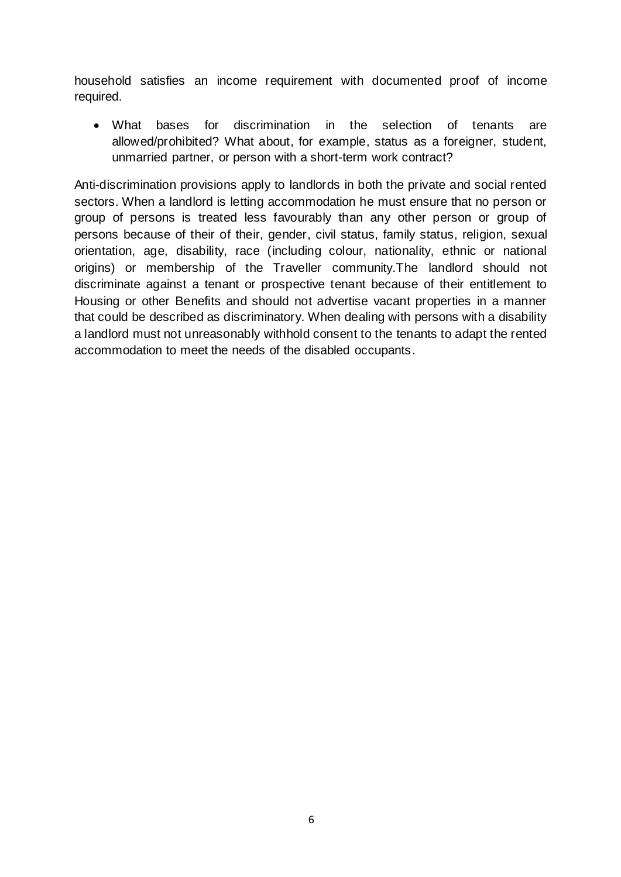household satisfies an income requirement with documented proof of income required.

 What bases for discrimination in the selection of tenants are allowed/prohibited? What about, for example, status as a foreigner, student, unmarried partner, or person with a short-term work contract?

Anti-discrimination provisions apply to landlords in both the private and social rented sectors. When a landlord is letting accommodation he must ensure that no person or group of persons is treated less favourably than any other person or group of persons because of their of their, gender, civil status, family status, religion, sexual orientation, age, disability, race (including colour, nationality, ethnic or national origins) or membership of the Traveller community.The landlord should not discriminate against a tenant or prospective tenant because of their entitlement to Housing or other Benefits and should not advertise vacant properties in a manner that could be described as discriminatory. When dealing with persons with a disability a landlord must not unreasonably withhold consent to the tenants to adapt the rented accommodation to meet the needs of the disabled occupants.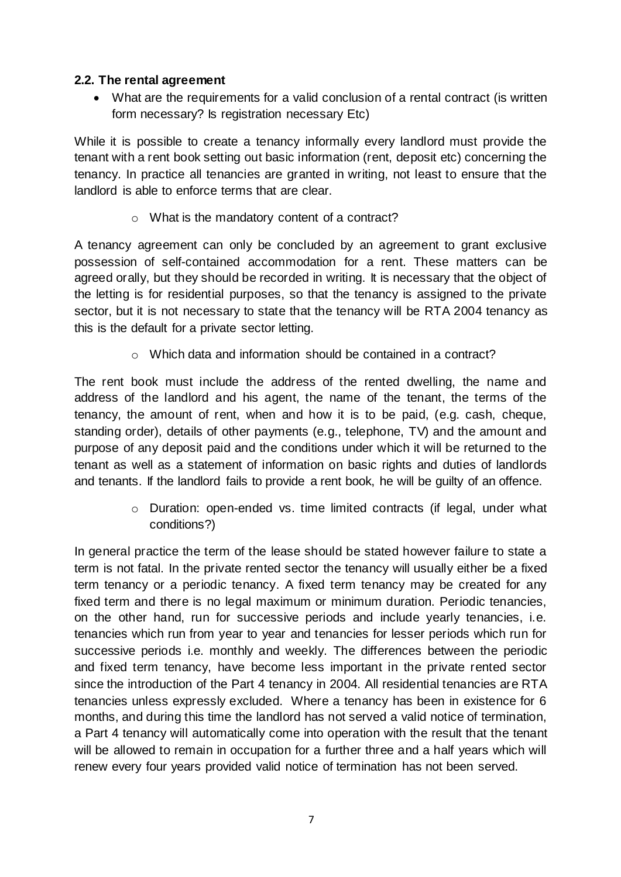#### <span id="page-6-0"></span>**2.2. The rental agreement**

 What are the requirements for a valid conclusion of a rental contract (is written form necessary? Is registration necessary Etc)

While it is possible to create a tenancy informally every landlord must provide the tenant with a rent book setting out basic information (rent, deposit etc) concerning the tenancy. In practice all tenancies are granted in writing, not least to ensure that the landlord is able to enforce terms that are clear.

o What is the mandatory content of a contract?

A tenancy agreement can only be concluded by an agreement to grant exclusive possession of self-contained accommodation for a rent. These matters can be agreed orally, but they should be recorded in writing. It is necessary that the object of the letting is for residential purposes, so that the tenancy is assigned to the private sector, but it is not necessary to state that the tenancy will be RTA 2004 tenancy as this is the default for a private sector letting.

o Which data and information should be contained in a contract?

The rent book must include the address of the rented dwelling, the name and address of the landlord and his agent, the name of the tenant, the terms of the tenancy, the amount of rent, when and how it is to be paid, (e.g. cash, cheque, standing order), details of other payments (e.g., telephone, TV) and the amount and purpose of any deposit paid and the conditions under which it will be returned to the tenant as well as a statement of information on basic rights and duties of landlords and tenants. If the landlord fails to provide a rent book, he will be guilty of an offence.

> o Duration: open-ended vs. time limited contracts (if legal, under what conditions?)

In general practice the term of the lease should be stated however failure to state a term is not fatal. In the private rented sector the tenancy will usually either be a fixed term tenancy or a periodic tenancy. A fixed term tenancy may be created for any fixed term and there is no legal maximum or minimum duration. Periodic tenancies, on the other hand, run for successive periods and include yearly tenancies, i.e. tenancies which run from year to year and tenancies for lesser periods which run for successive periods i.e. monthly and weekly. The differences between the periodic and fixed term tenancy, have become less important in the private rented sector since the introduction of the Part 4 tenancy in 2004. All residential tenancies are RTA tenancies unless expressly excluded. Where a tenancy has been in existence for 6 months, and during this time the landlord has not served a valid notice of termination, a Part 4 tenancy will automatically come into operation with the result that the tenant will be allowed to remain in occupation for a further three and a half years which will renew every four years provided valid notice of termination has not been served.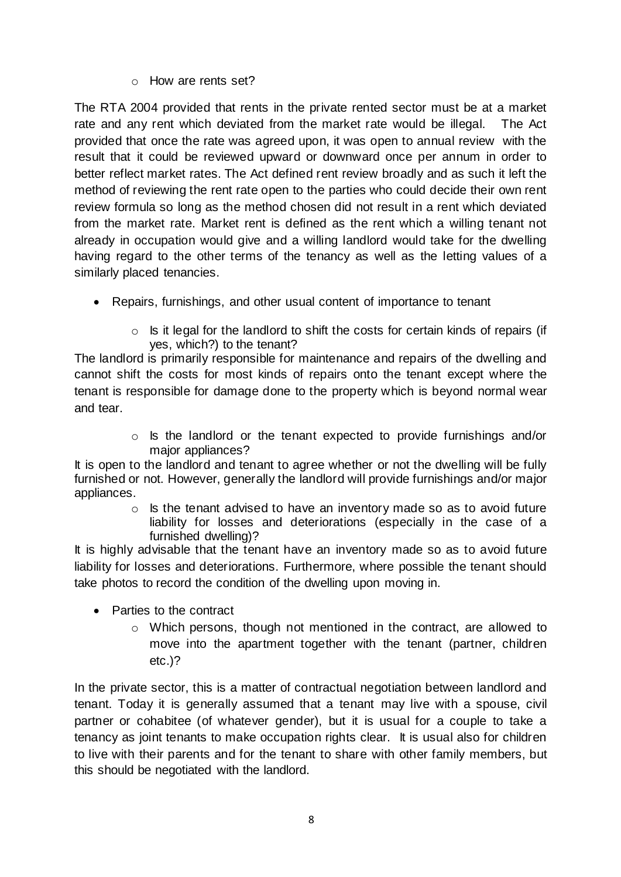#### o How are rents set?

The RTA 2004 provided that rents in the private rented sector must be at a market rate and any rent which deviated from the market rate would be illegal. The Act provided that once the rate was agreed upon, it was open to annual review with the result that it could be reviewed upward or downward once per annum in order to better reflect market rates. The Act defined rent review broadly and as such it left the method of reviewing the rent rate open to the parties who could decide their own rent review formula so long as the method chosen did not result in a rent which deviated from the market rate. Market rent is defined as the rent which a willing tenant not already in occupation would give and a willing landlord would take for the dwelling having regard to the other terms of the tenancy as well as the letting values of a similarly placed tenancies.

- Repairs, furnishings, and other usual content of importance to tenant
	- $\circ$  Is it legal for the landlord to shift the costs for certain kinds of repairs (if yes, which?) to the tenant?

The landlord is primarily responsible for maintenance and repairs of the dwelling and cannot shift the costs for most kinds of repairs onto the tenant except where the tenant is responsible for damage done to the property which is beyond normal wear and tear.

> o Is the landlord or the tenant expected to provide furnishings and/or major appliances?

It is open to the landlord and tenant to agree whether or not the dwelling will be fully furnished or not. However, generally the landlord will provide furnishings and/or major appliances.

 $\circ$  Is the tenant advised to have an inventory made so as to avoid future liability for losses and deteriorations (especially in the case of a furnished dwelling)?

It is highly advisable that the tenant have an inventory made so as to avoid future liability for losses and deteriorations. Furthermore, where possible the tenant should take photos to record the condition of the dwelling upon moving in.

- Parties to the contract
	- o Which persons, though not mentioned in the contract, are allowed to move into the apartment together with the tenant (partner, children etc.)?

In the private sector, this is a matter of contractual negotiation between landlord and tenant. Today it is generally assumed that a tenant may live with a spouse, civil partner or cohabitee (of whatever gender), but it is usual for a couple to take a tenancy as joint tenants to make occupation rights clear. It is usual also for children to live with their parents and for the tenant to share with other family members, but this should be negotiated with the landlord.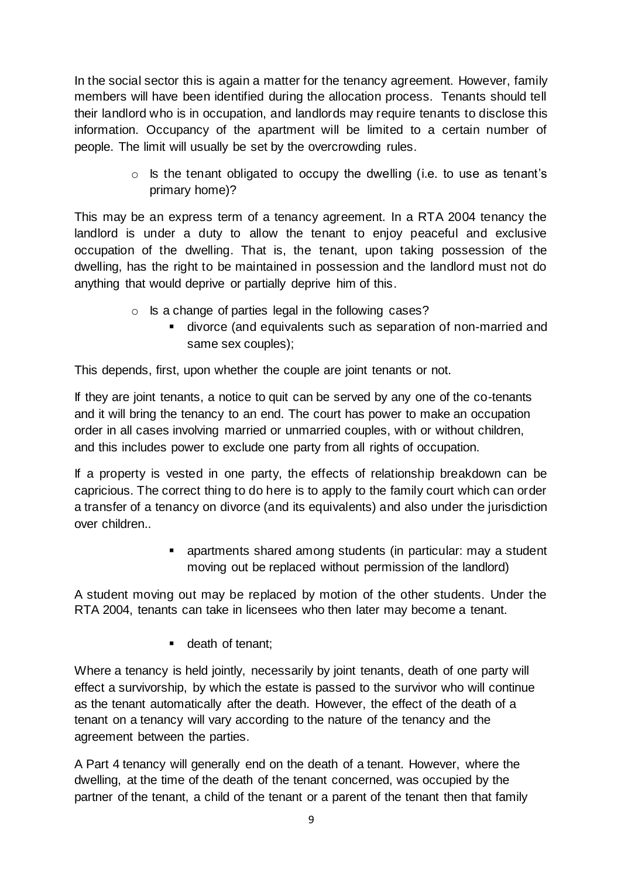In the social sector this is again a matter for the tenancy agreement. However, family members will have been identified during the allocation process. Tenants should tell their landlord who is in occupation, and landlords may require tenants to disclose this information. Occupancy of the apartment will be limited to a certain number of people. The limit will usually be set by the overcrowding rules.

> o Is the tenant obligated to occupy the dwelling (i.e. to use as tenant's primary home)?

This may be an express term of a tenancy agreement. In a RTA 2004 tenancy the landlord is under a duty to allow the tenant to enjoy peaceful and exclusive occupation of the dwelling. That is, the tenant, upon taking possession of the dwelling, has the right to be maintained in possession and the landlord must not do anything that would deprive or partially deprive him of this.

- o Is a change of parties legal in the following cases?
	- divorce (and equivalents such as separation of non-married and same sex couples);

This depends, first, upon whether the couple are joint tenants or not.

If they are joint tenants, a notice to quit can be served by any one of the co-tenants and it will bring the tenancy to an end. The court has power to make an occupation order in all cases involving married or unmarried couples, with or without children, and this includes power to exclude one party from all rights of occupation.

If a property is vested in one party, the effects of relationship breakdown can be capricious. The correct thing to do here is to apply to the family court which can order a transfer of a tenancy on divorce (and its equivalents) and also under the jurisdiction over children..

> apartments shared among students (in particular: may a student moving out be replaced without permission of the landlord)

A student moving out may be replaced by motion of the other students. Under the RTA 2004, tenants can take in licensees who then later may become a tenant.

**death of tenant;** 

Where a tenancy is held jointly, necessarily by joint tenants, death of one party will effect a survivorship, by which the estate is passed to the survivor who will continue as the tenant automatically after the death. However, the effect of the death of a tenant on a tenancy will vary according to the nature of the tenancy and the agreement between the parties.

A Part 4 tenancy will generally end on the death of a tenant. However, where the dwelling, at the time of the death of the tenant concerned, was occupied by the partner of the tenant, a child of the tenant or a parent of the tenant then that family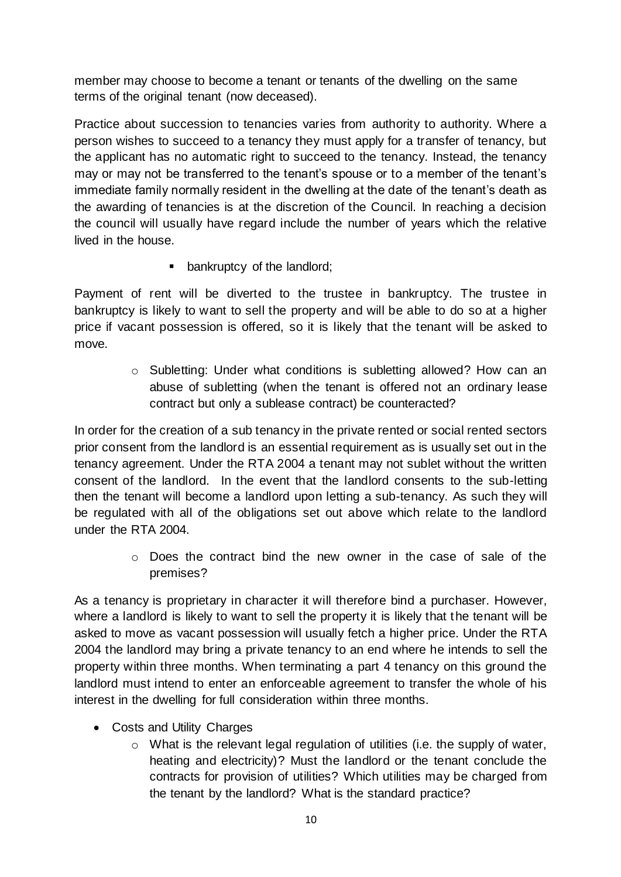member may choose to become a tenant or tenants of the dwelling on the same terms of the original tenant (now deceased).

Practice about succession to tenancies varies from authority to authority. Where a person wishes to succeed to a tenancy they must apply for a transfer of tenancy, but the applicant has no automatic right to succeed to the tenancy. Instead, the tenancy may or may not be transferred to the tenant's spouse or to a member of the tenant's immediate family normally resident in the dwelling at the date of the tenant's death as the awarding of tenancies is at the discretion of the Council. In reaching a decision the council will usually have regard include the number of years which the relative lived in the house.

**•** bankruptcy of the landlord;

Payment of rent will be diverted to the trustee in bankruptcy. The trustee in bankruptcy is likely to want to sell the property and will be able to do so at a higher price if vacant possession is offered, so it is likely that the tenant will be asked to move.

> o Subletting: Under what conditions is subletting allowed? How can an abuse of subletting (when the tenant is offered not an ordinary lease contract but only a sublease contract) be counteracted?

In order for the creation of a sub tenancy in the private rented or social rented sectors prior consent from the landlord is an essential requirement as is usually set out in the tenancy agreement. Under the RTA 2004 a tenant may not sublet without the written consent of the landlord. In the event that the landlord consents to the sub-letting then the tenant will become a landlord upon letting a sub-tenancy. As such they will be regulated with all of the obligations set out above which relate to the landlord under the RTA 2004.

> o Does the contract bind the new owner in the case of sale of the premises?

As a tenancy is proprietary in character it will therefore bind a purchaser. However, where a landlord is likely to want to sell the property it is likely that the tenant will be asked to move as vacant possession will usually fetch a higher price. Under the RTA 2004 the landlord may bring a private tenancy to an end where he intends to sell the property within three months. When terminating a part 4 tenancy on this ground the landlord must intend to enter an enforceable agreement to transfer the whole of his interest in the dwelling for full consideration within three months.

- Costs and Utility Charges
	- o What is the relevant legal regulation of utilities (i.e. the supply of water, heating and electricity)? Must the landlord or the tenant conclude the contracts for provision of utilities? Which utilities may be charged from the tenant by the landlord? What is the standard practice?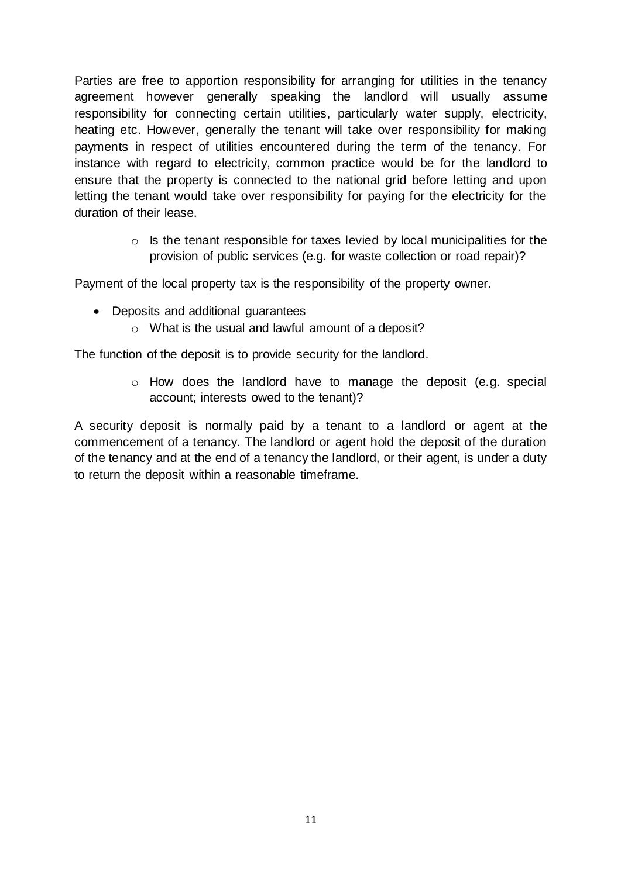Parties are free to apportion responsibility for arranging for utilities in the tenancy agreement however generally speaking the landlord will usually assume responsibility for connecting certain utilities, particularly water supply, electricity, heating etc. However, generally the tenant will take over responsibility for making payments in respect of utilities encountered during the term of the tenancy. For instance with regard to electricity, common practice would be for the landlord to ensure that the property is connected to the national grid before letting and upon letting the tenant would take over responsibility for paying for the electricity for the duration of their lease.

> $\circ$  Is the tenant responsible for taxes levied by local municipalities for the provision of public services (e.g. for waste collection or road repair)?

Payment of the local property tax is the responsibility of the property owner.

- Deposits and additional guarantees
	- o What is the usual and lawful amount of a deposit?

The function of the deposit is to provide security for the landlord.

o How does the landlord have to manage the deposit (e.g. special account; interests owed to the tenant)?

A security deposit is normally paid by a tenant to a landlord or agent at the commencement of a tenancy. The landlord or agent hold the deposit of the duration of the tenancy and at the end of a tenancy the landlord, or their agent, is under a duty to return the deposit within a reasonable timeframe.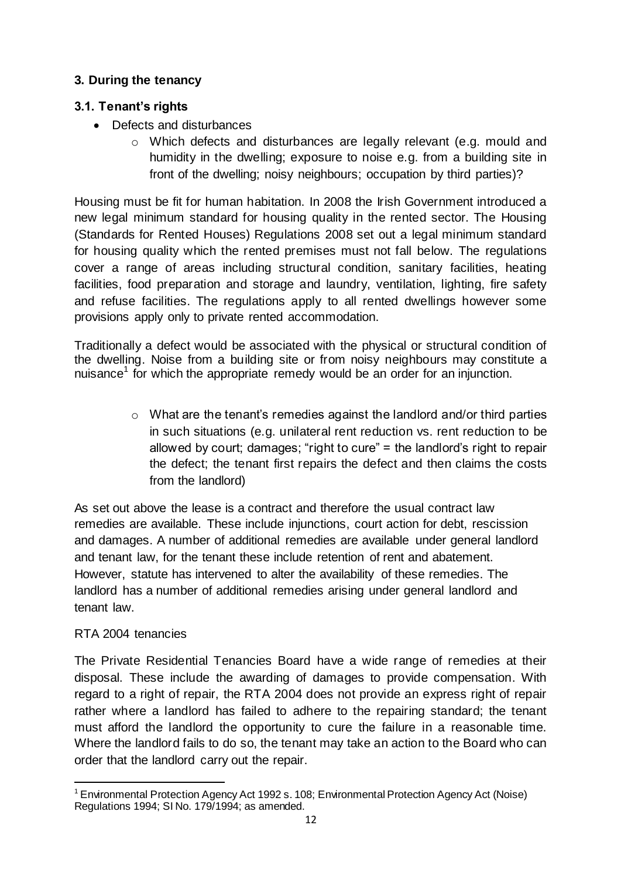# <span id="page-11-0"></span>**3. During the tenancy**

# <span id="page-11-1"></span>**3.1. Tenant's rights**

- Defects and disturbances
	- o Which defects and disturbances are legally relevant (e.g. mould and humidity in the dwelling; exposure to noise e.g. from a building site in front of the dwelling; noisy neighbours; occupation by third parties)?

Housing must be fit for human habitation. In 2008 the Irish Government introduced a new legal minimum standard for housing quality in the rented sector. The Housing (Standards for Rented Houses) Regulations 2008 set out a legal minimum standard for housing quality which the rented premises must not fall below. The regulations cover a range of areas including structural condition, sanitary facilities, heating facilities, food preparation and storage and laundry, ventilation, lighting, fire safety and refuse facilities. The regulations apply to all rented dwellings however some provisions apply only to private rented accommodation.

Traditionally a defect would be associated with the physical or structural condition of the dwelling. Noise from a building site or from noisy neighbours may constitute a nuisance<sup>1</sup> for which the appropriate remedy would be an order for an injunction.

> o What are the tenant's remedies against the landlord and/or third parties in such situations (e.g. unilateral rent reduction vs. rent reduction to be allowed by court; damages; "right to cure" = the landlord's right to repair the defect; the tenant first repairs the defect and then claims the costs from the landlord)

As set out above the lease is a contract and therefore the usual contract law remedies are available. These include injunctions, court action for debt, rescission and damages. A number of additional remedies are available under general landlord and tenant law, for the tenant these include retention of rent and abatement. However, statute has intervened to alter the availability of these remedies. The landlord has a number of additional remedies arising under general landlord and tenant law.

# RTA 2004 tenancies

The Private Residential Tenancies Board have a wide range of remedies at their disposal. These include the awarding of damages to provide compensation. With regard to a right of repair, the RTA 2004 does not provide an express right of repair rather where a landlord has failed to adhere to the repairing standard; the tenant must afford the landlord the opportunity to cure the failure in a reasonable time. Where the landlord fails to do so, the tenant may take an action to the Board who can order that the landlord carry out the repair.

<sup>1</sup> <sup>1</sup> Environmental Protection Agency Act 1992 s. 108; Environmental Protection Agency Act (Noise) Regulations 1994; SI No. 179/1994; as amended.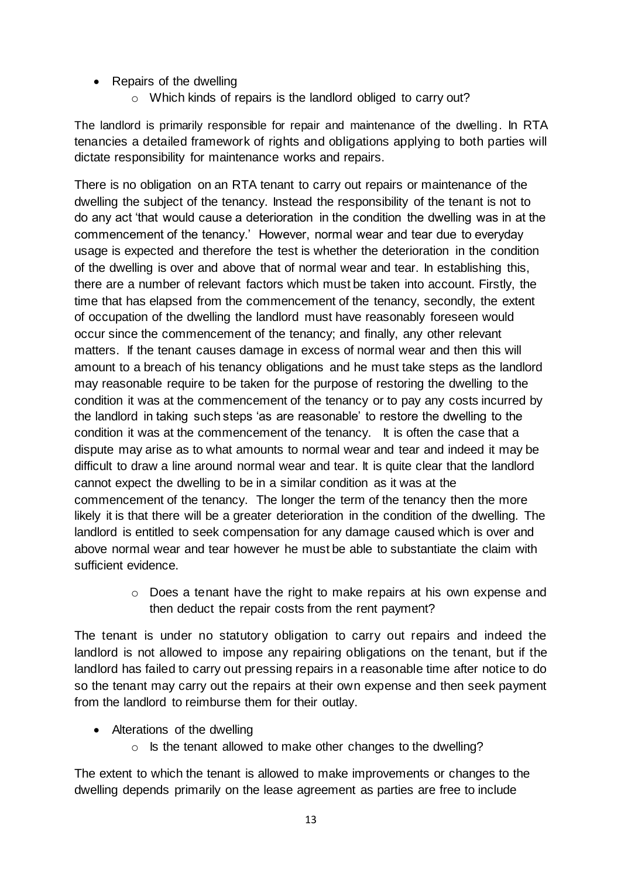- Repairs of the dwelling
	- o Which kinds of repairs is the landlord obliged to carry out?

The landlord is primarily responsible for repair and maintenance of the dwelling. In RTA tenancies a detailed framework of rights and obligations applying to both parties will dictate responsibility for maintenance works and repairs.

There is no obligation on an RTA tenant to carry out repairs or maintenance of the dwelling the subject of the tenancy. Instead the responsibility of the tenant is not to do any act 'that would cause a deterioration in the condition the dwelling was in at the commencement of the tenancy.' However, normal wear and tear due to everyday usage is expected and therefore the test is whether the deterioration in the condition of the dwelling is over and above that of normal wear and tear. In establishing this, there are a number of relevant factors which must be taken into account. Firstly, the time that has elapsed from the commencement of the tenancy, secondly, the extent of occupation of the dwelling the landlord must have reasonably foreseen would occur since the commencement of the tenancy; and finally, any other relevant matters. If the tenant causes damage in excess of normal wear and then this will amount to a breach of his tenancy obligations and he must take steps as the landlord may reasonable require to be taken for the purpose of restoring the dwelling to the condition it was at the commencement of the tenancy or to pay any costs incurred by the landlord in taking such steps 'as are reasonable' to restore the dwelling to the condition it was at the commencement of the tenancy. It is often the case that a dispute may arise as to what amounts to normal wear and tear and indeed it may be difficult to draw a line around normal wear and tear. It is quite clear that the landlord cannot expect the dwelling to be in a similar condition as it was at the commencement of the tenancy. The longer the term of the tenancy then the more likely it is that there will be a greater deterioration in the condition of the dwelling. The landlord is entitled to seek compensation for any damage caused which is over and above normal wear and tear however he must be able to substantiate the claim with sufficient evidence.

> $\circ$  Does a tenant have the right to make repairs at his own expense and then deduct the repair costs from the rent payment?

The tenant is under no statutory obligation to carry out repairs and indeed the landlord is not allowed to impose any repairing obligations on the tenant, but if the landlord has failed to carry out pressing repairs in a reasonable time after notice to do so the tenant may carry out the repairs at their own expense and then seek payment from the landlord to reimburse them for their outlay.

- Alterations of the dwelling
	- o Is the tenant allowed to make other changes to the dwelling?

The extent to which the tenant is allowed to make improvements or changes to the dwelling depends primarily on the lease agreement as parties are free to include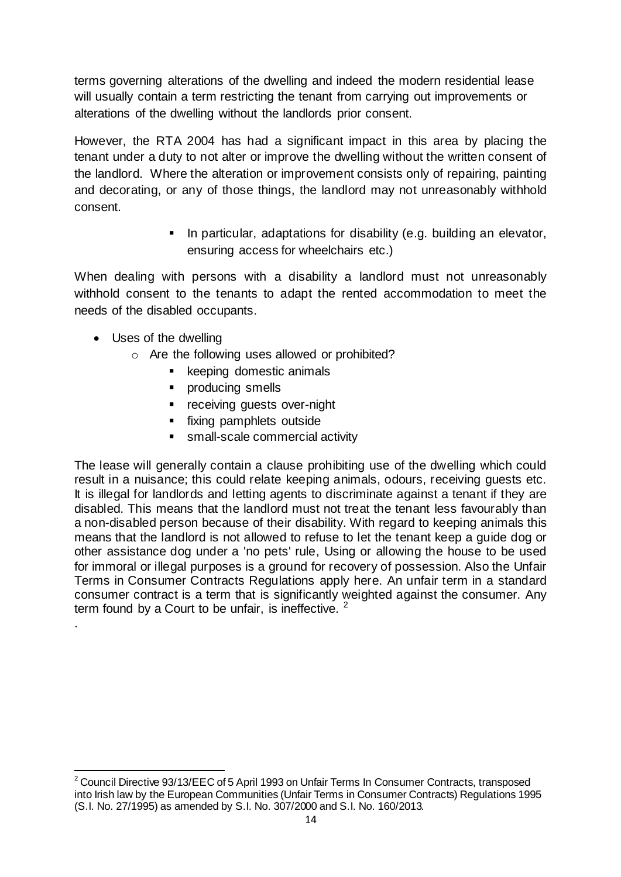terms governing alterations of the dwelling and indeed the modern residential lease will usually contain a term restricting the tenant from carrying out improvements or alterations of the dwelling without the landlords prior consent.

However, the RTA 2004 has had a significant impact in this area by placing the tenant under a duty to not alter or improve the dwelling without the written consent of the landlord. Where the alteration or improvement consists only of repairing, painting and decorating, or any of those things, the landlord may not unreasonably withhold consent.

> **In particular, adaptations for disability (e.g. building an elevator,** ensuring access for wheelchairs etc.)

When dealing with persons with a disability a landlord must not unreasonably withhold consent to the tenants to adapt the rented accommodation to meet the needs of the disabled occupants.

Uses of the dwelling

.

- o Are the following uses allowed or prohibited?
	- keeping domestic animals
	- producing smells
	- **•** receiving guests over-night
	- **fixing pamphlets outside**
	- **small-scale commercial activity**

The lease will generally contain a clause prohibiting use of the dwelling which could result in a nuisance; this could relate keeping animals, odours, receiving guests etc. It is illegal for landlords and letting agents to discriminate against a tenant if they are disabled. This means that the landlord must not treat the tenant less favourably than a non-disabled person because of their disability. With regard to keeping animals this means that the landlord is not allowed to refuse to let the tenant keep a guide dog or other assistance dog under a 'no pets' rule, Using or allowing the house to be used for immoral or illegal purposes is a ground for recovery of possession. Also the Unfair Terms in Consumer Contracts Regulations apply here. An unfair term in a standard consumer contract is a term that is significantly weighted against the consumer. Any term found by a Court to be unfair, is ineffective.  $2^2$ 

<sup>1</sup>  $2$  Council Directive 93/13/EEC of 5 April 1993 on Unfair Terms In Consumer Contracts, transposed into Irish law by the European Communities (Unfair Terms in Consumer Contracts) Regulations 1995 (S.I. No. 27/1995) as amended by S.I. No. 307/2000 and S.I. No. 160/2013.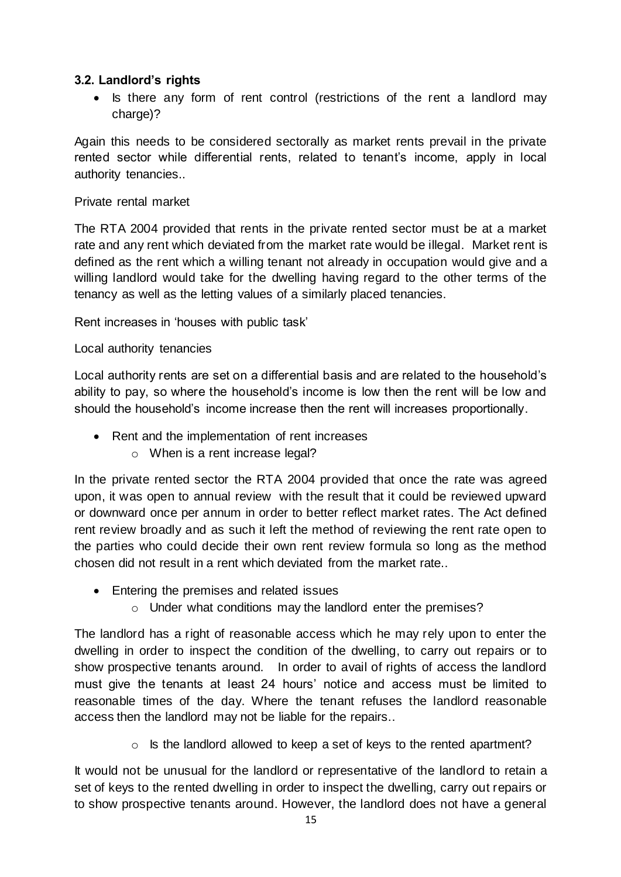#### <span id="page-14-0"></span>**3.2. Landlord's rights**

• Is there any form of rent control (restrictions of the rent a landlord may charge)?

Again this needs to be considered sectorally as market rents prevail in the private rented sector while differential rents, related to tenant's income, apply in local authority tenancies..

#### Private rental market

The RTA 2004 provided that rents in the private rented sector must be at a market rate and any rent which deviated from the market rate would be illegal. Market rent is defined as the rent which a willing tenant not already in occupation would give and a willing landlord would take for the dwelling having regard to the other terms of the tenancy as well as the letting values of a similarly placed tenancies.

Rent increases in 'houses with public task'

# Local authority tenancies

Local authority rents are set on a differential basis and are related to the household's ability to pay, so where the household's income is low then the rent will be low and should the household's income increase then the rent will increases proportionally.

- Rent and the implementation of rent increases
	- o When is a rent increase legal?

In the private rented sector the RTA 2004 provided that once the rate was agreed upon, it was open to annual review with the result that it could be reviewed upward or downward once per annum in order to better reflect market rates. The Act defined rent review broadly and as such it left the method of reviewing the rent rate open to the parties who could decide their own rent review formula so long as the method chosen did not result in a rent which deviated from the market rate..

- Entering the premises and related issues
	- o Under what conditions may the landlord enter the premises?

The landlord has a right of reasonable access which he may rely upon to enter the dwelling in order to inspect the condition of the dwelling, to carry out repairs or to show prospective tenants around. In order to avail of rights of access the landlord must give the tenants at least 24 hours' notice and access must be limited to reasonable times of the day. Where the tenant refuses the landlord reasonable access then the landlord may not be liable for the repairs..

o Is the landlord allowed to keep a set of keys to the rented apartment?

It would not be unusual for the landlord or representative of the landlord to retain a set of keys to the rented dwelling in order to inspect the dwelling, carry out repairs or to show prospective tenants around. However, the landlord does not have a general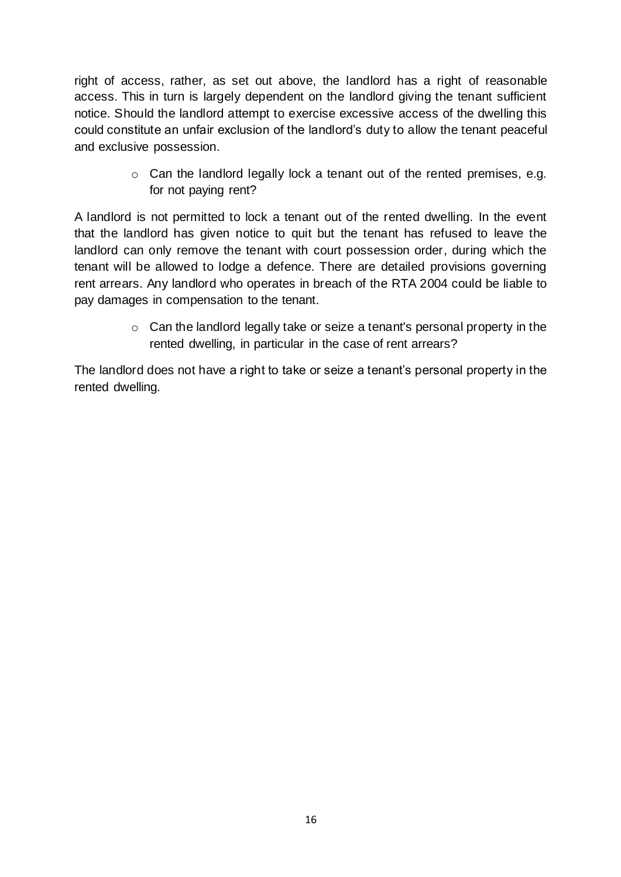right of access, rather, as set out above, the landlord has a right of reasonable access. This in turn is largely dependent on the landlord giving the tenant sufficient notice. Should the landlord attempt to exercise excessive access of the dwelling this could constitute an unfair exclusion of the landlord's duty to allow the tenant peaceful and exclusive possession.

> o Can the landlord legally lock a tenant out of the rented premises, e.g. for not paying rent?

A landlord is not permitted to lock a tenant out of the rented dwelling. In the event that the landlord has given notice to quit but the tenant has refused to leave the landlord can only remove the tenant with court possession order, during which the tenant will be allowed to lodge a defence. There are detailed provisions governing rent arrears. Any landlord who operates in breach of the RTA 2004 could be liable to pay damages in compensation to the tenant.

> o Can the landlord legally take or seize a tenant's personal property in the rented dwelling, in particular in the case of rent arrears?

The landlord does not have a right to take or seize a tenant's personal property in the rented dwelling.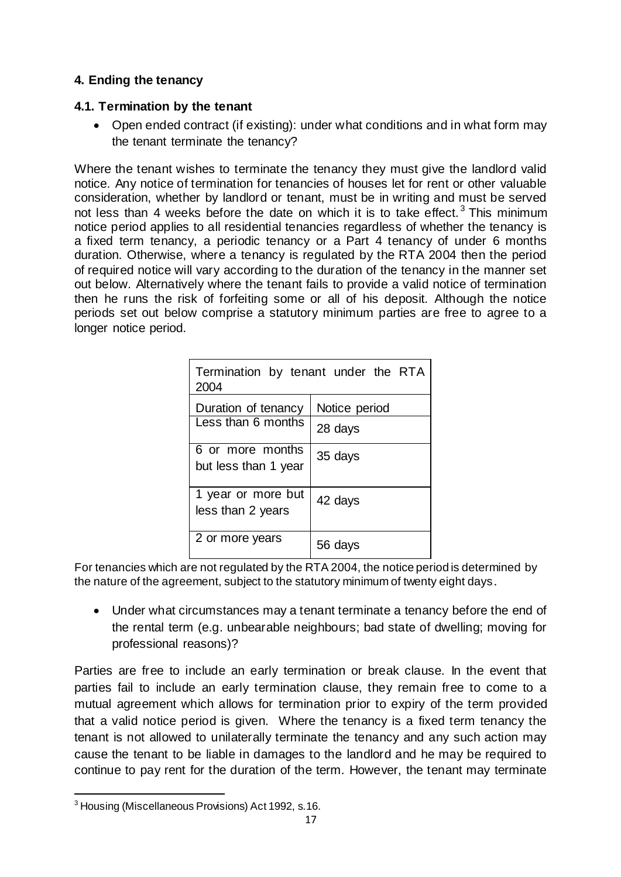# <span id="page-16-0"></span>**4. Ending the tenancy**

#### <span id="page-16-1"></span>**4.1. Termination by the tenant**

 Open ended contract (if existing): under what conditions and in what form may the tenant terminate the tenancy?

Where the tenant wishes to terminate the tenancy they must give the landlord valid notice. Any notice of termination for tenancies of houses let for rent or other valuable consideration, whether by landlord or tenant, must be in writing and must be served not less than 4 weeks before the date on which it is to take effect.<sup>3</sup> This minimum notice period applies to all residential tenancies regardless of whether the tenancy is a fixed term tenancy, a periodic tenancy or a Part 4 tenancy of under 6 months duration. Otherwise, where a tenancy is regulated by the RTA 2004 then the period of required notice will vary according to the duration of the tenancy in the manner set out below. Alternatively where the tenant fails to provide a valid notice of termination then he runs the risk of forfeiting some or all of his deposit. Although the notice periods set out below comprise a statutory minimum parties are free to agree to a longer notice period.

| Termination by tenant under the RTA<br>2004 |                          |  |  |
|---------------------------------------------|--------------------------|--|--|
| Duration of tenancy<br>Less than 6 months   | Notice period<br>28 days |  |  |
| 6 or more months<br>but less than 1 year    | 35 days                  |  |  |
| 1 year or more but<br>less than 2 years     | 42 days                  |  |  |
| 2 or more years                             | 56 days                  |  |  |

For tenancies which are not regulated by the RTA 2004, the notice period is determined by the nature of the agreement, subject to the statutory minimum of twenty eight days.

 Under what circumstances may a tenant terminate a tenancy before the end of the rental term (e.g. unbearable neighbours; bad state of dwelling; moving for professional reasons)?

Parties are free to include an early termination or break clause. In the event that parties fail to include an early termination clause, they remain free to come to a mutual agreement which allows for termination prior to expiry of the term provided that a valid notice period is given. Where the tenancy is a fixed term tenancy the tenant is not allowed to unilaterally terminate the tenancy and any such action may cause the tenant to be liable in damages to the landlord and he may be required to continue to pay rent for the duration of the term. However, the tenant may terminate

1

<sup>&</sup>lt;sup>3</sup> Housing (Miscellaneous Provisions) Act 1992, s.16.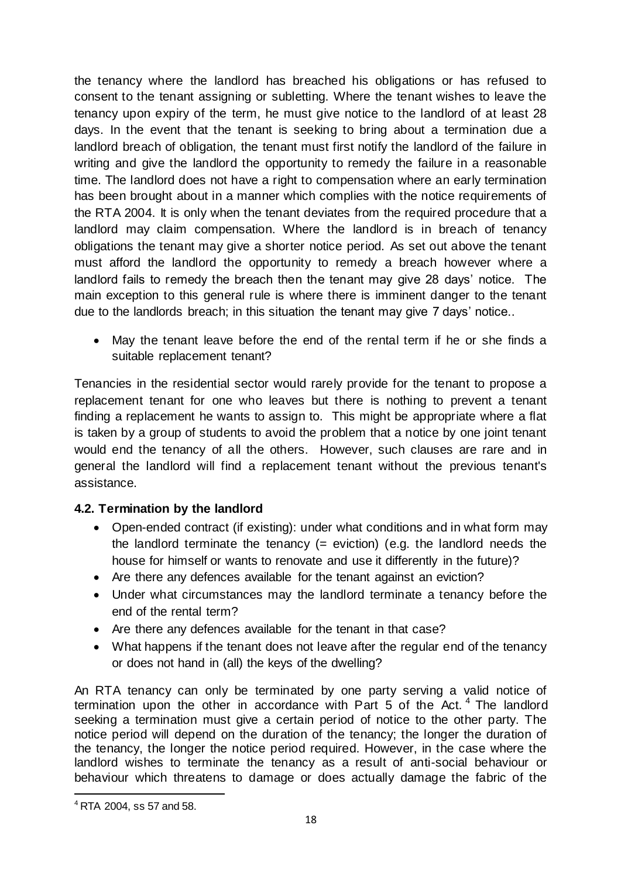the tenancy where the landlord has breached his obligations or has refused to consent to the tenant assigning or subletting. Where the tenant wishes to leave the tenancy upon expiry of the term, he must give notice to the landlord of at least 28 days. In the event that the tenant is seeking to bring about a termination due a landlord breach of obligation, the tenant must first notify the landlord of the failure in writing and give the landlord the opportunity to remedy the failure in a reasonable time. The landlord does not have a right to compensation where an early termination has been brought about in a manner which complies with the notice requirements of the RTA 2004. It is only when the tenant deviates from the required procedure that a landlord may claim compensation. Where the landlord is in breach of tenancy obligations the tenant may give a shorter notice period. As set out above the tenant must afford the landlord the opportunity to remedy a breach however where a landlord fails to remedy the breach then the tenant may give 28 days' notice. The main exception to this general rule is where there is imminent danger to the tenant due to the landlords breach; in this situation the tenant may give 7 days' notice..

 May the tenant leave before the end of the rental term if he or she finds a suitable replacement tenant?

Tenancies in the residential sector would rarely provide for the tenant to propose a replacement tenant for one who leaves but there is nothing to prevent a tenant finding a replacement he wants to assign to. This might be appropriate where a flat is taken by a group of students to avoid the problem that a notice by one joint tenant would end the tenancy of all the others. However, such clauses are rare and in general the landlord will find a replacement tenant without the previous tenant's assistance.

# <span id="page-17-0"></span>**4.2. Termination by the landlord**

- Open-ended contract (if existing): under what conditions and in what form may the landlord terminate the tenancy  $(=$  eviction) (e.g. the landlord needs the house for himself or wants to renovate and use it differently in the future)?
- Are there any defences available for the tenant against an eviction?
- Under what circumstances may the landlord terminate a tenancy before the end of the rental term?
- Are there any defences available for the tenant in that case?
- What happens if the tenant does not leave after the regular end of the tenancy or does not hand in (all) the keys of the dwelling?

An RTA tenancy can only be terminated by one party serving a valid notice of termination upon the other in accordance with Part  $5$  of the Act.<sup>4</sup> The landlord seeking a termination must give a certain period of notice to the other party. The notice period will depend on the duration of the tenancy; the longer the duration of the tenancy, the longer the notice period required. However, in the case where the landlord wishes to terminate the tenancy as a result of anti-social behaviour or behaviour which threatens to damage or does actually damage the fabric of the

1

<sup>4</sup> RTA 2004, ss 57 and 58.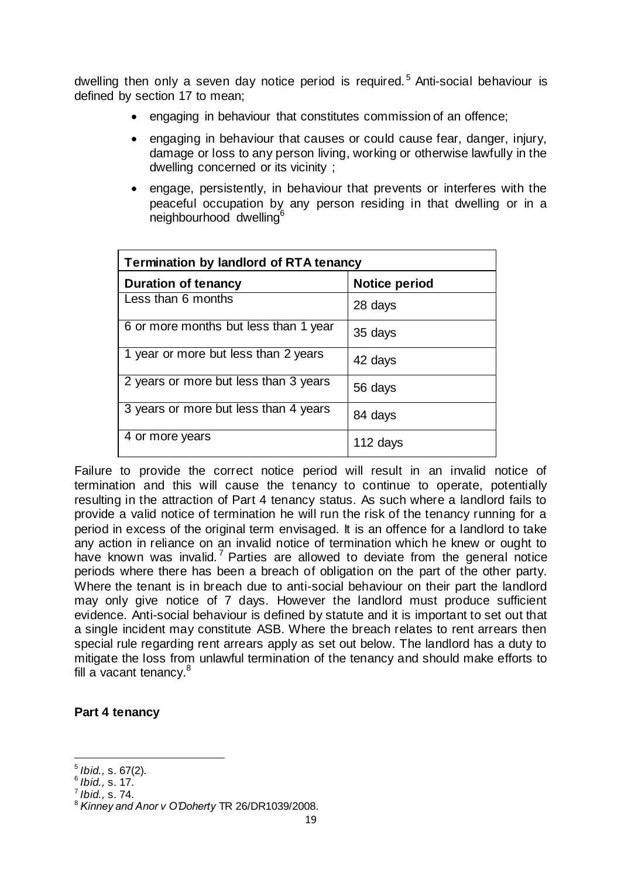dwelling then only a seven day notice period is required.<sup>5</sup> Anti-social behaviour is defined by section 17 to mean;

- engaging in behaviour that constitutes commission of an offence;
- engaging in behaviour that causes or could cause fear, danger, injury, damage or loss to any person living, working or otherwise lawfully in the dwelling concerned or its vicinity ;
- engage, persistently, in behaviour that prevents or interferes with the peaceful occupation by any person residing in that dwelling or in a neighbourhood dwelling<sup>6</sup>

| <b>Termination by landlord of RTA tenancy</b> |                      |  |
|-----------------------------------------------|----------------------|--|
| <b>Duration of tenancy</b>                    | <b>Notice period</b> |  |
| Less than 6 months                            | 28 days              |  |
| 6 or more months but less than 1 year         | 35 days              |  |
| 1 year or more but less than 2 years          | 42 days              |  |
| 2 years or more but less than 3 years         | 56 days              |  |
| 3 years or more but less than 4 years         | 84 days              |  |
| 4 or more years                               | 112 days             |  |

Failure to provide the correct notice period will result in an invalid notice of termination and this will cause the tenancy to continue to operate, potentially resulting in the attraction of Part 4 tenancy status. As such where a landlord fails to provide a valid notice of termination he will run the risk of the tenancy running for a period in excess of the original term envisaged. It is an offence for a landlord to take any action in reliance on an invalid notice of termination which he knew or ought to have known was invalid.<sup>7</sup> Parties are allowed to deviate from the general notice periods where there has been a breach of obligation on the part of the other party. Where the tenant is in breach due to anti-social behaviour on their part the landlord may only give notice of 7 days. However the landlord must produce sufficient evidence. Anti-social behaviour is defined by statute and it is important to set out that a single incident may constitute ASB. Where the breach relates to rent arrears then special rule regarding rent arrears apply as set out below. The landlord has a duty to mitigate the loss from unlawful termination of the tenancy and should make efforts to fill a vacant tenancy.<sup>8</sup>

#### **Part 4 tenancy**

1

<sup>5</sup> *Ibid.,* s. 67(2).

<sup>6</sup> *Ibid.,* s. 17.

<sup>7</sup> *Ibid.,* s. 74.

<sup>8</sup> *Kinney and Anor v O'Doherty* TR 26/DR1039/2008.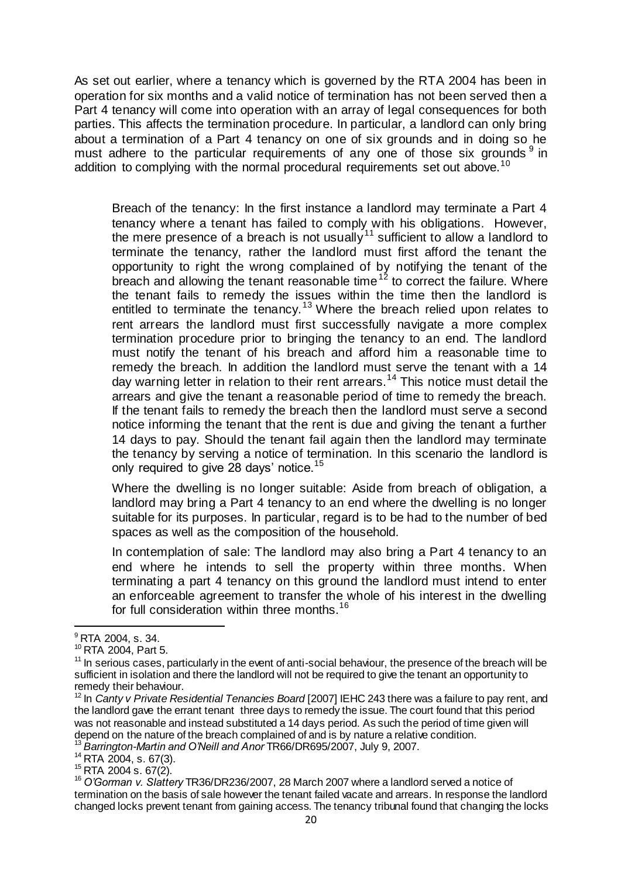As set out earlier, where a tenancy which is governed by the RTA 2004 has been in operation for six months and a valid notice of termination has not been served then a Part 4 tenancy will come into operation with an array of legal consequences for both parties. This affects the termination procedure. In particular, a landlord can only bring about a termination of a Part 4 tenancy on one of six grounds and in doing so he must adhere to the particular requirements of any one of those six grounds  $9$  in addition to complying with the normal procedural requirements set out above.<sup>10</sup>

Breach of the tenancy: In the first instance a landlord may terminate a Part 4 tenancy where a tenant has failed to comply with his obligations. However, the mere presence of a breach is not usually<sup>11</sup> sufficient to allow a landlord to terminate the tenancy, rather the landlord must first afford the tenant the opportunity to right the wrong complained of by notifying the tenant of the  $b$ reach and allowing the tenant reasonable time<sup>12</sup> to correct the failure. Where the tenant fails to remedy the issues within the time then the landlord is entitled to terminate the tenancy.<sup>13</sup> Where the breach relied upon relates to rent arrears the landlord must first successfully navigate a more complex termination procedure prior to bringing the tenancy to an end. The landlord must notify the tenant of his breach and afford him a reasonable time to remedy the breach. In addition the landlord must serve the tenant with a 14 day warning letter in relation to their rent arrears.<sup>14</sup> This notice must detail the arrears and give the tenant a reasonable period of time to remedy the breach. If the tenant fails to remedy the breach then the landlord must serve a second notice informing the tenant that the rent is due and giving the tenant a further 14 days to pay. Should the tenant fail again then the landlord may terminate the tenancy by serving a notice of termination. In this scenario the landlord is only required to give 28 days' notice.<sup>15</sup>

Where the dwelling is no longer suitable: Aside from breach of obligation, a landlord may bring a Part 4 tenancy to an end where the dwelling is no longer suitable for its purposes. In particular, regard is to be had to the number of bed spaces as well as the composition of the household.

In contemplation of sale: The landlord may also bring a Part 4 tenancy to an end where he intends to sell the property within three months. When terminating a part 4 tenancy on this ground the landlord must intend to enter an enforceable agreement to transfer the whole of his interest in the dwelling for full consideration within three months.<sup>16</sup>

1

<sup>14</sup> RTA 2004, s. 67(3).

<sup>15</sup> RTA 2004 s. 67(2).

 $^9$  RTA 2004, s. 34.

<sup>10</sup> RTA 2004, Part 5.

<sup>&</sup>lt;sup>11</sup> In serious cases, particularly in the event of anti-social behaviour, the presence of the breach will be sufficient in isolation and there the landlord will not be required to give the tenant an opportunity to remedy their behaviour.

<sup>12</sup> In *Canty v Private Residential Tenancies Board* [2007] IEHC 243 there was a failure to pay rent, and the landlord gave the errant tenant three days to remedy the issue. The court found that this period was not reasonable and instead substituted a 14 days period. As such the period of time given will depend on the nature of the breach complained of and is by nature a relative condition. <sup>13</sup> *Barrington-Martin and O'Neill and Anor* TR66/DR695/2007, July 9, 2007.

<sup>16</sup> *O'Gorman v. Slattery* TR36/DR236/2007, 28 March 2007 where a landlord served a notice of termination on the basis of sale however the tenant failed vacate and arrears. In response the landlord changed locks prevent tenant from gaining access. The tenancy tribunal found that changing the locks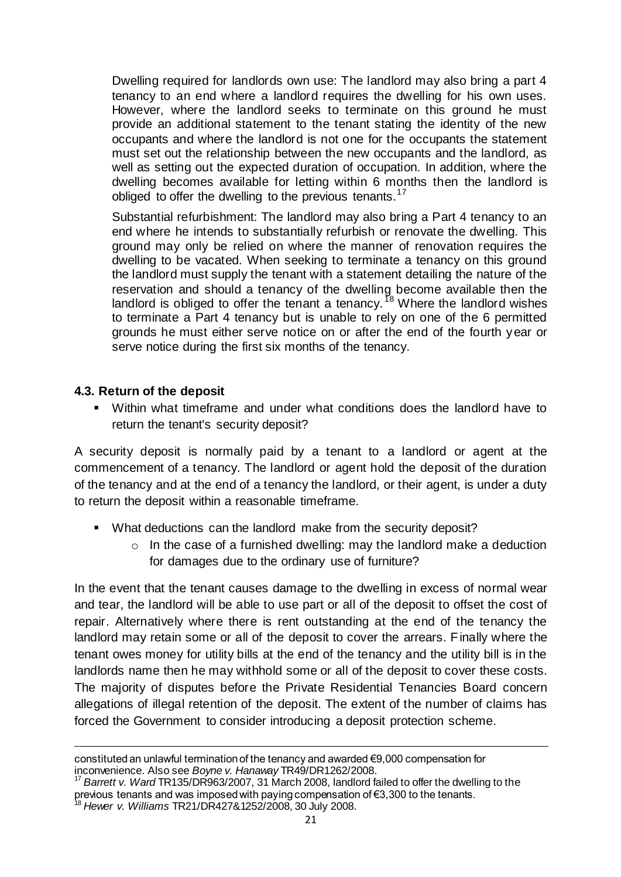Dwelling required for landlords own use: The landlord may also bring a part 4 tenancy to an end where a landlord requires the dwelling for his own uses. However, where the landlord seeks to terminate on this ground he must provide an additional statement to the tenant stating the identity of the new occupants and where the landlord is not one for the occupants the statement must set out the relationship between the new occupants and the landlord, as well as setting out the expected duration of occupation. In addition, where the dwelling becomes available for letting within 6 months then the landlord is obliged to offer the dwelling to the previous tenants.<sup>17</sup>

Substantial refurbishment: The landlord may also bring a Part 4 tenancy to an end where he intends to substantially refurbish or renovate the dwelling. This ground may only be relied on where the manner of renovation requires the dwelling to be vacated. When seeking to terminate a tenancy on this ground the landlord must supply the tenant with a statement detailing the nature of the reservation and should a tenancy of the dwelling become available then the landlord is obliged to offer the tenant a tenancy.<sup>18</sup> Where the landlord wishes to terminate a Part 4 tenancy but is unable to rely on one of the 6 permitted grounds he must either serve notice on or after the end of the fourth year or serve notice during the first six months of the tenancy.

#### <span id="page-20-0"></span>**4.3. Return of the deposit**

1

 Within what timeframe and under what conditions does the landlord have to return the tenant's security deposit?

A security deposit is normally paid by a tenant to a landlord or agent at the commencement of a tenancy. The landlord or agent hold the deposit of the duration of the tenancy and at the end of a tenancy the landlord, or their agent, is under a duty to return the deposit within a reasonable timeframe.

- What deductions can the landlord make from the security deposit?
	- $\circ$  In the case of a furnished dwelling: may the landlord make a deduction for damages due to the ordinary use of furniture?

In the event that the tenant causes damage to the dwelling in excess of normal wear and tear, the landlord will be able to use part or all of the deposit to offset the cost of repair. Alternatively where there is rent outstanding at the end of the tenancy the landlord may retain some or all of the deposit to cover the arrears. Finally where the tenant owes money for utility bills at the end of the tenancy and the utility bill is in the landlords name then he may withhold some or all of the deposit to cover these costs. The majority of disputes before the Private Residential Tenancies Board concern allegations of illegal retention of the deposit. The extent of the number of claims has forced the Government to consider introducing a deposit protection scheme.

constituted an unlawful termination of the tenancy and awarded €9,000 compensation for inconvenience. Also see *Boyne v. Hanaway* TR49/DR1262/2008.

<sup>17</sup> *Barrett v. Ward* TR135/DR963/2007, 31 March 2008, landlord failed to offer the dwelling to the previous tenants and was imposed with paying compensation of €3,300 to the tenants.

<sup>18</sup> *Hewer v. Williams* TR21/DR427&1252/2008, 30 July 2008.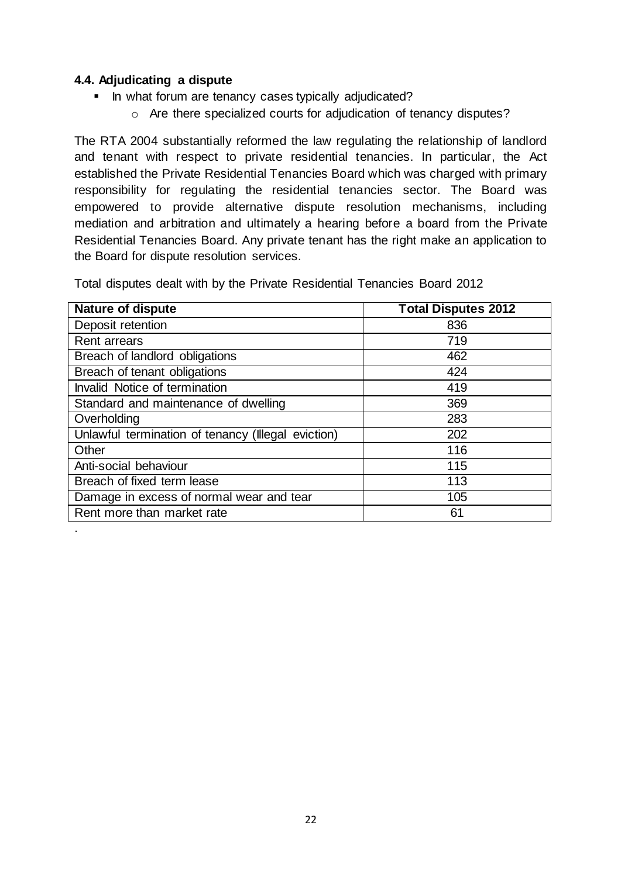#### <span id="page-21-0"></span>**4.4. Adjudicating a dispute**

- In what forum are tenancy cases typically adjudicated?
	- o Are there specialized courts for adjudication of tenancy disputes?

The RTA 2004 substantially reformed the law regulating the relationship of landlord and tenant with respect to private residential tenancies. In particular, the Act established the Private Residential Tenancies Board which was charged with primary responsibility for regulating the residential tenancies sector. The Board was empowered to provide alternative dispute resolution mechanisms, including mediation and arbitration and ultimately a hearing before a board from the Private Residential Tenancies Board. Any private tenant has the right make an application to the Board for dispute resolution services.

Total disputes dealt with by the Private Residential Tenancies Board 2012

| <b>Nature of dispute</b>                           | <b>Total Disputes 2012</b> |
|----------------------------------------------------|----------------------------|
| Deposit retention                                  | 836                        |
| <b>Rent arrears</b>                                | 719                        |
| Breach of landlord obligations                     | 462                        |
| Breach of tenant obligations                       | 424                        |
| Invalid Notice of termination                      | 419                        |
| Standard and maintenance of dwelling               | 369                        |
| Overholding                                        | 283                        |
| Unlawful termination of tenancy (Illegal eviction) | 202                        |
| Other                                              | 116                        |
| Anti-social behaviour                              | 115                        |
| Breach of fixed term lease                         | 113                        |
| Damage in excess of normal wear and tear           | 105                        |
| Rent more than market rate                         | 61                         |
|                                                    |                            |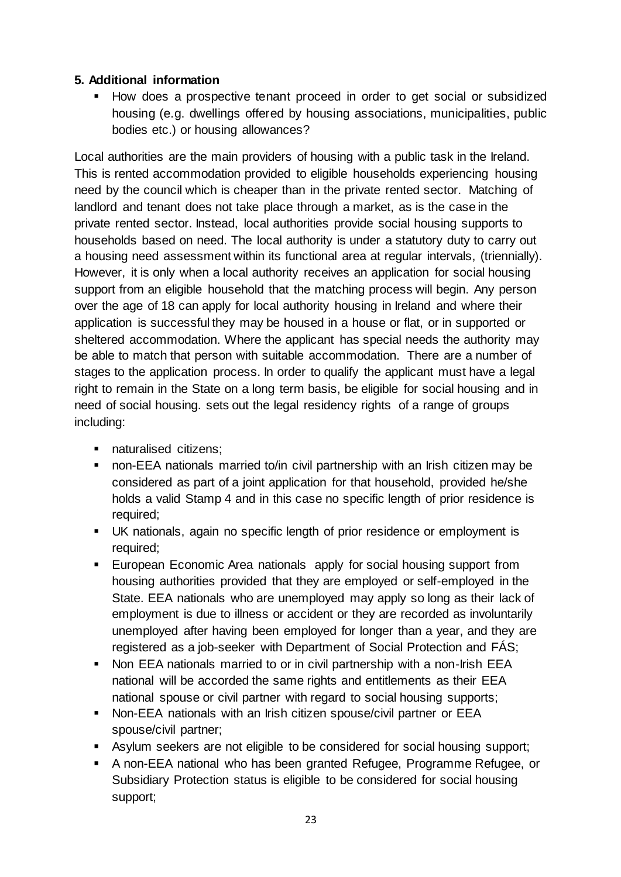# <span id="page-22-0"></span>**5. Additional information**

• How does a prospective tenant proceed in order to get social or subsidized housing (e.g. dwellings offered by housing associations, municipalities, public bodies etc.) or housing allowances?

Local authorities are the main providers of housing with a public task in the Ireland. This is rented accommodation provided to eligible households experiencing housing need by the council which is cheaper than in the private rented sector. Matching of landlord and tenant does not take place through a market, as is the case in the private rented sector. Instead, local authorities provide social housing supports to households based on need. The local authority is under a statutory duty to carry out a housing need assessment within its functional area at regular intervals, (triennially). However, it is only when a local authority receives an application for social housing support from an eligible household that the matching process will begin. Any person over the age of 18 can apply for local authority housing in Ireland and where their application is successful they may be housed in a house or flat, or in supported or sheltered accommodation. Where the applicant has special needs the authority may be able to match that person with suitable accommodation. There are a number of stages to the application process. In order to qualify the applicant must have a legal right to remain in the State on a long term basis, be eligible for social housing and in need of social housing. sets out the legal residency rights of a range of groups including:

- naturalised citizens;
- non-EEA nationals married to/in civil partnership with an Irish citizen may be considered as part of a joint application for that household, provided he/she holds a valid Stamp 4 and in this case no specific length of prior residence is required;
- UK nationals, again no specific length of prior residence or employment is required;
- **European Economic Area nationals apply for social housing support from** housing authorities provided that they are employed or self-employed in the State. EEA nationals who are unemployed may apply so long as their lack of employment is due to illness or accident or they are recorded as involuntarily unemployed after having been employed for longer than a year, and they are registered as a job-seeker with Department of Social Protection and FÁS;
- Non EEA nationals married to or in civil partnership with a non-Irish EEA national will be accorded the same rights and entitlements as their EEA national spouse or civil partner with regard to social housing supports;
- Non-EEA nationals with an Irish citizen spouse/civil partner or EEA spouse/civil partner;
- Asylum seekers are not eligible to be considered for social housing support;
- A non-EEA national who has been granted Refugee, Programme Refugee, or Subsidiary Protection status is eligible to be considered for social housing support;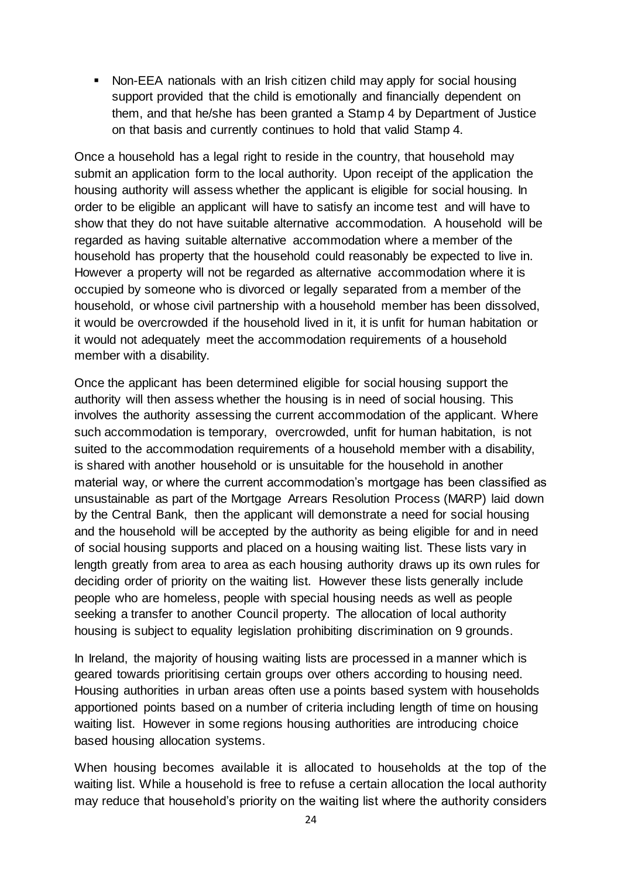Non-EEA nationals with an Irish citizen child may apply for social housing support provided that the child is emotionally and financially dependent on them, and that he/she has been granted a Stamp 4 by Department of Justice on that basis and currently continues to hold that valid Stamp 4.

Once a household has a legal right to reside in the country, that household may submit an application form to the local authority. Upon receipt of the application the housing authority will assess whether the applicant is eligible for social housing. In order to be eligible an applicant will have to satisfy an income test and will have to show that they do not have suitable alternative accommodation. A household will be regarded as having suitable alternative accommodation where a member of the household has property that the household could reasonably be expected to live in. However a property will not be regarded as alternative accommodation where it is occupied by someone who is divorced or legally separated from a member of the household, or whose civil partnership with a household member has been dissolved, it would be overcrowded if the household lived in it, it is unfit for human habitation or it would not adequately meet the accommodation requirements of a household member with a disability.

Once the applicant has been determined eligible for social housing support the authority will then assess whether the housing is in need of social housing. This involves the authority assessing the current accommodation of the applicant. Where such accommodation is temporary, overcrowded, unfit for human habitation, is not suited to the accommodation requirements of a household member with a disability, is shared with another household or is unsuitable for the household in another material way, or where the current accommodation's mortgage has been classified as unsustainable as part of the Mortgage Arrears Resolution Process (MARP) laid down by the Central Bank, then the applicant will demonstrate a need for social housing and the household will be accepted by the authority as being eligible for and in need of social housing supports and placed on a housing waiting list. These lists vary in length greatly from area to area as each housing authority draws up its own rules for deciding order of priority on the waiting list. However these lists generally include people who are homeless, people with special housing needs as well as people seeking a transfer to another Council property. The allocation of local authority housing is subject to equality legislation prohibiting discrimination on 9 grounds.

In Ireland, the majority of housing waiting lists are processed in a manner which is geared towards prioritising certain groups over others according to housing need. Housing authorities in urban areas often use a points based system with households apportioned points based on a number of criteria including length of time on housing waiting list. However in some regions housing authorities are introducing choice based housing allocation systems.

When housing becomes available it is allocated to households at the top of the waiting list. While a household is free to refuse a certain allocation the local authority may reduce that household's priority on the waiting list where the authority considers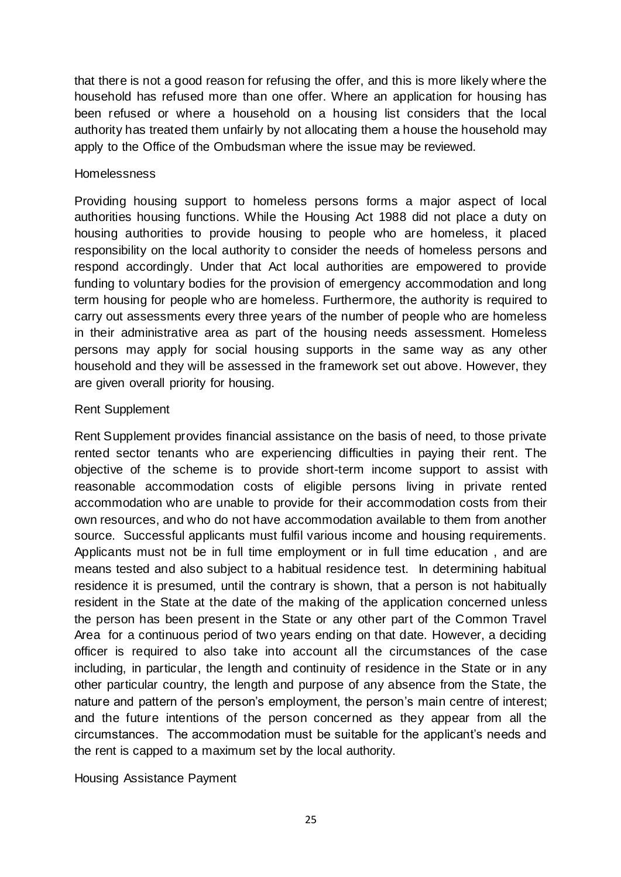that there is not a good reason for refusing the offer, and this is more likely where the household has refused more than one offer. Where an application for housing has been refused or where a household on a housing list considers that the local authority has treated them unfairly by not allocating them a house the household may apply to the Office of the Ombudsman where the issue may be reviewed.

#### **Homelessness**

Providing housing support to homeless persons forms a major aspect of local authorities housing functions. While the Housing Act 1988 did not place a duty on housing authorities to provide housing to people who are homeless, it placed responsibility on the local authority to consider the needs of homeless persons and respond accordingly. Under that Act local authorities are empowered to provide funding to voluntary bodies for the provision of emergency accommodation and long term housing for people who are homeless. Furthermore, the authority is required to carry out assessments every three years of the number of people who are homeless in their administrative area as part of the housing needs assessment. Homeless persons may apply for social housing supports in the same way as any other household and they will be assessed in the framework set out above. However, they are given overall priority for housing.

#### Rent Supplement

Rent Supplement provides financial assistance on the basis of need, to those private rented sector tenants who are experiencing difficulties in paying their rent. The objective of the scheme is to provide short-term income support to assist with reasonable accommodation costs of eligible persons living in private rented accommodation who are unable to provide for their accommodation costs from their own resources, and who do not have accommodation available to them from another source. Successful applicants must fulfil various income and housing requirements. Applicants must not be in full time employment or in full time education , and are means tested and also subject to a habitual residence test. In determining habitual residence it is presumed, until the contrary is shown, that a person is not habitually resident in the State at the date of the making of the application concerned unless the person has been present in the State or any other part of the Common Travel Area for a continuous period of two years ending on that date. However, a deciding officer is required to also take into account all the circumstances of the case including, in particular, the length and continuity of residence in the State or in any other particular country, the length and purpose of any absence from the State, the nature and pattern of the person's employment, the person's main centre of interest; and the future intentions of the person concerned as they appear from all the circumstances. The accommodation must be suitable for the applicant's needs and the rent is capped to a maximum set by the local authority.

#### Housing Assistance Payment